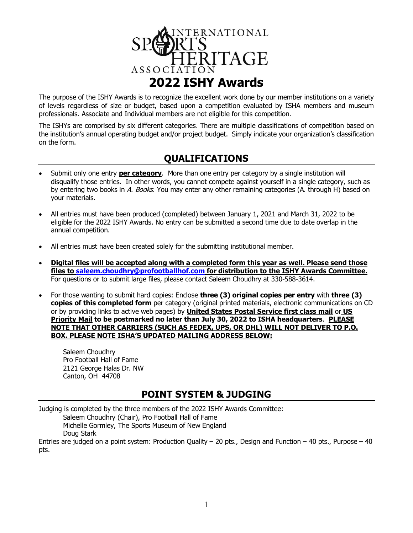

The purpose of the ISHY Awards is to recognize the excellent work done by our member institutions on a variety of levels regardless of size or budget, based upon a competition evaluated by ISHA members and museum professionals. Associate and Individual members are not eligible for this competition.

The ISHYs are comprised by six different categories. There are multiple classifications of competition based on the institution's annual operating budget and/or project budget. Simply indicate your organization's classification on the form.

## **QUALIFICATIONS**

- Submit only one entry **per category**. More than one entry per category by a single institution will disqualify those entries. In other words, you cannot compete against yourself in a single category, such as by entering two books in A. Books. You may enter any other remaining categories (A. through H) based on your materials.
- All entries must have been produced (completed) between January 1, 2021 and March 31, 2022 to be eligible for the 2022 ISHY Awards. No entry can be submitted a second time due to date overlap in the annual competition.
- All entries must have been created solely for the submitting institutional member.
- **Digital files will be accepted along with a completed form this year as well. Please send those files to [saleem.choudhry@profootballhof.com](mailto:saleem.choudhry@profootballhof.com) for distribution to the ISHY Awards Committee.** For questions or to submit large files, please contact Saleem Choudhry at 330-588-3614.
- For those wanting to submit hard copies: Enclose **three (3) original copies per entry** with **three (3) copies of this completed form** per category (original printed materials, electronic communications on CD or by providing links to active web pages) by **United States Postal Service first class mail** or **US Priority Mail to be postmarked no later than July 30, 2022 to ISHA headquarters**. **PLEASE NOTE THAT OTHER CARRIERS (SUCH AS FEDEX, UPS, OR DHL) WILL NOT DELIVER TO P.O. BOX. PLEASE NOTE ISHA'S UPDATED MAILING ADDRESS BELOW:**

Saleem Choudhry Pro Football Hall of Fame 2121 George Halas Dr. NW Canton, OH 44708

## **POINT SYSTEM & JUDGING**

Judging is completed by the three members of the 2022 ISHY Awards Committee:

Saleem Choudhry (Chair), Pro Football Hall of Fame

Michelle Gormley, The Sports Museum of New England Doug Stark

Entries are judged on a point system: Production Quality – 20 pts., Design and Function – 40 pts., Purpose – 40 pts.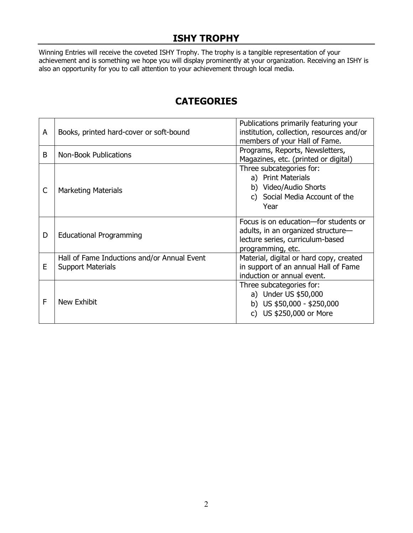## **ISHY TROPHY**

Winning Entries will receive the coveted ISHY Trophy. The trophy is a tangible representation of your achievement and is something we hope you will display prominently at your organization. Receiving an ISHY is also an opportunity for you to call attention to your achievement through local media.

| A | Books, printed hard-cover or soft-bound                                 | Publications primarily featuring your<br>institution, collection, resources and/or<br>members of your Hall of Fame.                  |
|---|-------------------------------------------------------------------------|--------------------------------------------------------------------------------------------------------------------------------------|
| B | Non-Book Publications                                                   | Programs, Reports, Newsletters,<br>Magazines, etc. (printed or digital)                                                              |
| C | <b>Marketing Materials</b>                                              | Three subcategories for:<br>a) Print Materials<br>b) Video/Audio Shorts<br>c) Social Media Account of the<br>Year                    |
| D | <b>Educational Programming</b>                                          | Focus is on education-for students or<br>adults, in an organized structure-<br>lecture series, curriculum-based<br>programming, etc. |
| E | Hall of Fame Inductions and/or Annual Event<br><b>Support Materials</b> | Material, digital or hard copy, created<br>in support of an annual Hall of Fame<br>induction or annual event.                        |
| F | New Exhibit                                                             | Three subcategories for:<br>a) Under US \$50,000<br>b) US $$50,000 - $250,000$<br>c) US \$250,000 or More                            |

## **CATEGORIES**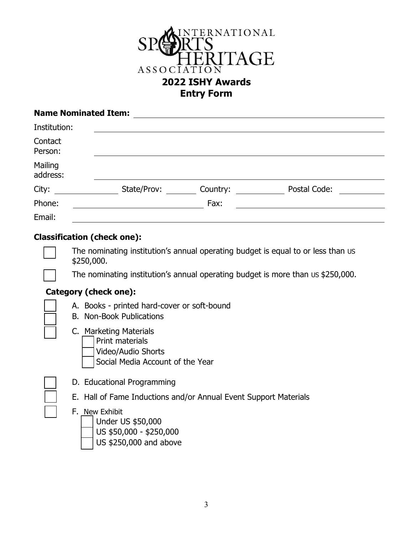

| <b>Name Nominated Item:</b> |             |          |              |  |
|-----------------------------|-------------|----------|--------------|--|
| Institution:                |             |          |              |  |
| Contact<br>Person:          |             |          |              |  |
| Mailing<br>address:         |             |          |              |  |
| City:                       | State/Prov: | Country: | Postal Code: |  |
| Phone:                      |             | Fax:     |              |  |
| Email:                      |             |          |              |  |

### **Classification (check one):**

The nominating institution's annual operating budget is equal to or less than us \$250,000.

The nominating institution's annual operating budget is more than us \$250,000.

#### **Category (check one):**

- A. Books printed hard-cover or soft-bound
- B. Non-Book Publications
- ☐ C. Marketing Materials
	- Print materials
		- b) Video/Audio Shorts
			- Social Media Account of the Year
	- D. Educational Programming
	- E. Hall of Fame Inductions and/or Annual Event Support Materials
	- F. New Exhibit
		- Under US \$50,000
			- b) US \$50,000 \$250,000
		- US \$250,000 and above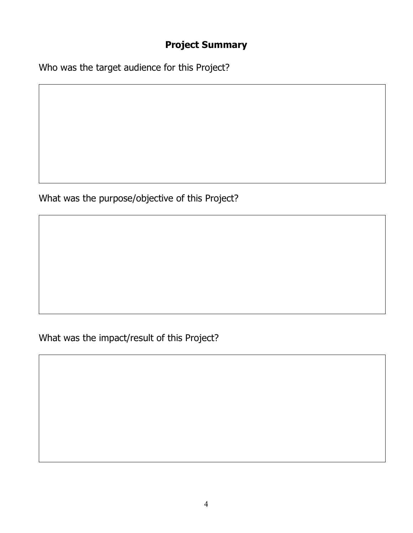# **Project Summary**

Who was the target audience for this Project?

What was the purpose/objective of this Project?

What was the impact/result of this Project?